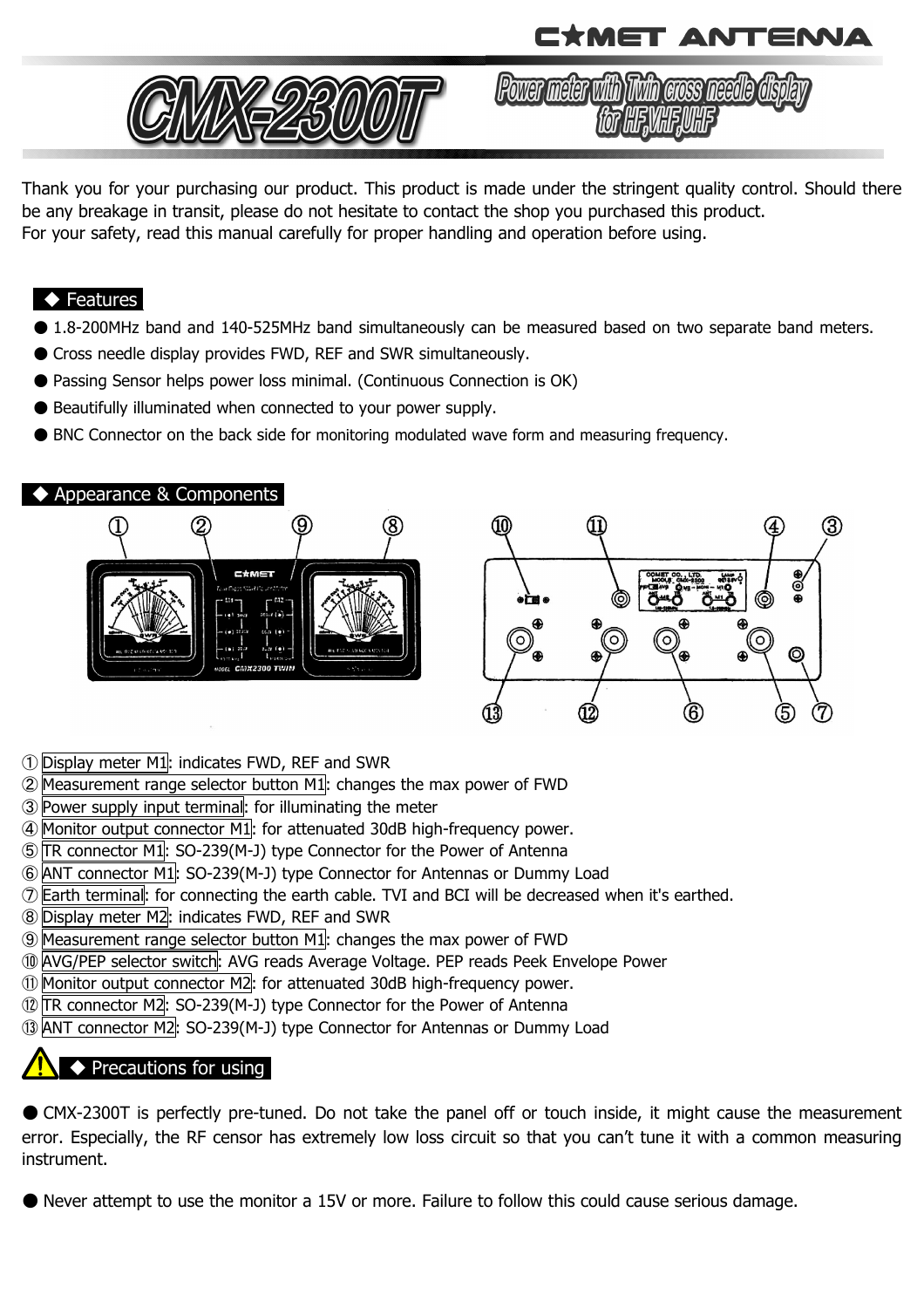



Power meter with Twin gross needle

Thank you for your purchasing our product. This product is made under the stringent quality control. Should there be any breakage in transit, please do not hesitate to contact the shop you purchased this product. For your safety, read this manual carefully for proper handling and operation before using.

#### ◆ Features

- 1.8-200MHz band and 140-525MHz band simultaneously can be measured based on two separate band meters.
- Cross needle display provides FWD, REF and SWR simultaneously.
- Passing Sensor helps power loss minimal. (Continuous Connection is OK)
- Beautifully illuminated when connected to your power supply.
- BNC Connector on the back side for monitoring modulated wave form and measuring frequency.



- ① Display meter M1: indicates FWD, REF and SWR
- ② Measurement range selector button M1: changes the max power of FWD
- ③ Power supply input terminal: for illuminating the meter
- ④ Monitor output connector M1: for attenuated 30dB high-frequency power.
- ⑤ TR connector M1: SO-239(M-J) type Connector for the Power of Antenna
- ⑥ ANT connector M1: SO-239(M-J) type Connector for Antennas or Dummy Load
- ⑦ Earth terminal: for connecting the earth cable. TVI and BCI will be decreased when it's earthed.
- ⑧ Display meter M2: indicates FWD, REF and SWR
- ⑨ Measurement range selector button M1: changes the max power of FWD
- ⑩ AVG/PEP selector switch: AVG reads Average Voltage. PEP reads Peek Envelope Power
- ⑪ Monitor output connector M2: for attenuated 30dB high-frequency power.
- ⑫ TR connector M2: SO-239(M-J) type Connector for the Power of Antenna
- ⑬ ANT connector M2: SO-239(M-J) type Connector for Antennas or Dummy Load

## ◆ Precautions for using

● CMX-2300T is perfectly pre-tuned. Do not take the panel off or touch inside, it might cause the measurement error. Especially, the RF censor has extremely low loss circuit so that you can't tune it with a common measuring instrument.

● Never attempt to use the monitor a 15V or more. Failure to follow this could cause serious damage.